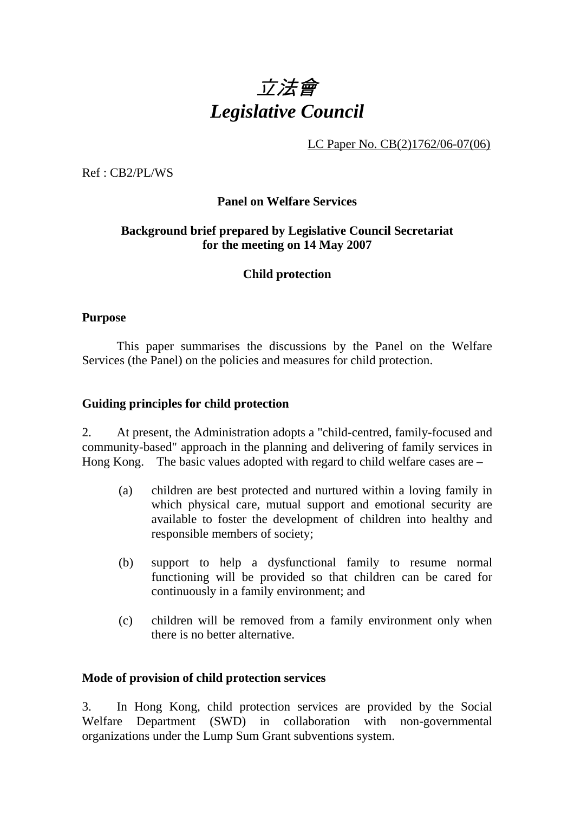

LC Paper No. CB(2)1762/06-07(06)

Ref : CB2/PL/WS

#### **Panel on Welfare Services**

## **Background brief prepared by Legislative Council Secretariat for the meeting on 14 May 2007**

#### **Child protection**

#### **Purpose**

This paper summarises the discussions by the Panel on the Welfare Services (the Panel) on the policies and measures for child protection.

#### **Guiding principles for child protection**

2. At present, the Administration adopts a "child-centred, family-focused and community-based" approach in the planning and delivering of family services in Hong Kong. The basic values adopted with regard to child welfare cases are –

- (a) children are best protected and nurtured within a loving family in which physical care, mutual support and emotional security are available to foster the development of children into healthy and responsible members of society;
- (b) support to help a dysfunctional family to resume normal functioning will be provided so that children can be cared for continuously in a family environment; and
- (c) children will be removed from a family environment only when there is no better alternative.

#### **Mode of provision of child protection services**

3. In Hong Kong, child protection services are provided by the Social Welfare Department (SWD) in collaboration with non-governmental organizations under the Lump Sum Grant subventions system.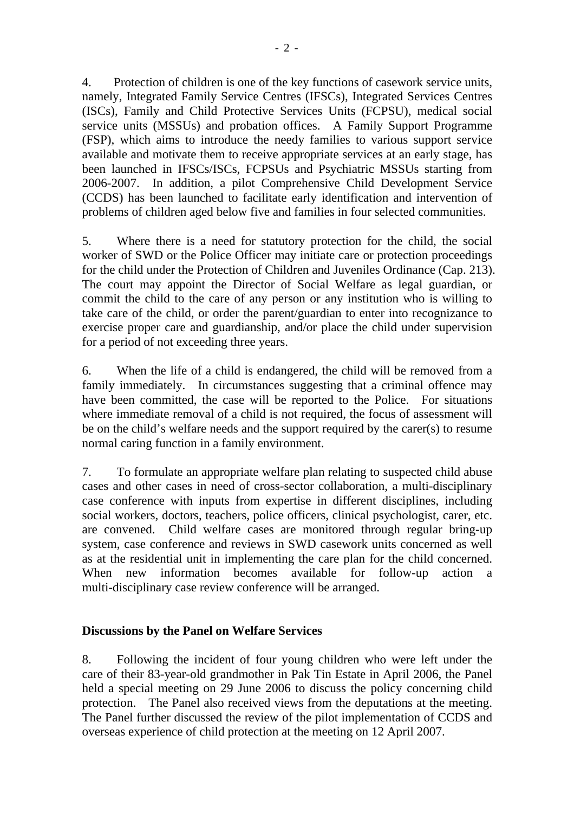4. Protection of children is one of the key functions of casework service units, namely, Integrated Family Service Centres (IFSCs), Integrated Services Centres (ISCs), Family and Child Protective Services Units (FCPSU), medical social service units (MSSUs) and probation offices. A Family Support Programme (FSP), which aims to introduce the needy families to various support service available and motivate them to receive appropriate services at an early stage, has been launched in IFSCs/ISCs, FCPSUs and Psychiatric MSSUs starting from 2006-2007. In addition, a pilot Comprehensive Child Development Service (CCDS) has been launched to facilitate early identification and intervention of problems of children aged below five and families in four selected communities.

5. Where there is a need for statutory protection for the child, the social worker of SWD or the Police Officer may initiate care or protection proceedings for the child under the Protection of Children and Juveniles Ordinance (Cap. 213). The court may appoint the Director of Social Welfare as legal guardian, or commit the child to the care of any person or any institution who is willing to take care of the child, or order the parent/guardian to enter into recognizance to exercise proper care and guardianship, and/or place the child under supervision for a period of not exceeding three years.

6. When the life of a child is endangered, the child will be removed from a family immediately. In circumstances suggesting that a criminal offence may have been committed, the case will be reported to the Police. For situations where immediate removal of a child is not required, the focus of assessment will be on the child's welfare needs and the support required by the carer(s) to resume normal caring function in a family environment.

7. To formulate an appropriate welfare plan relating to suspected child abuse cases and other cases in need of cross-sector collaboration, a multi-disciplinary case conference with inputs from expertise in different disciplines, including social workers, doctors, teachers, police officers, clinical psychologist, carer, etc. are convened. Child welfare cases are monitored through regular bring-up system, case conference and reviews in SWD casework units concerned as well as at the residential unit in implementing the care plan for the child concerned. When new information becomes available for follow-up action a multi-disciplinary case review conference will be arranged.

## **Discussions by the Panel on Welfare Services**

8. Following the incident of four young children who were left under the care of their 83-year-old grandmother in Pak Tin Estate in April 2006, the Panel held a special meeting on 29 June 2006 to discuss the policy concerning child protection. The Panel also received views from the deputations at the meeting. The Panel further discussed the review of the pilot implementation of CCDS and overseas experience of child protection at the meeting on 12 April 2007.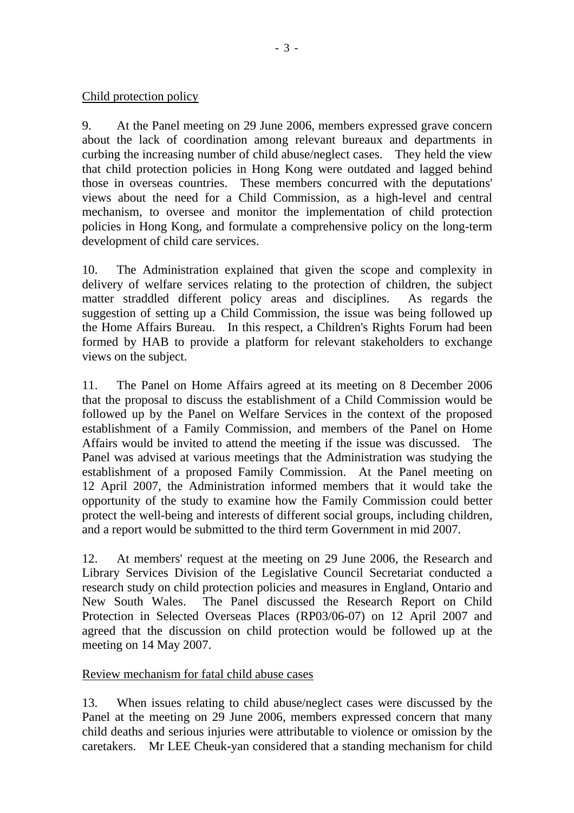## Child protection policy

9. At the Panel meeting on 29 June 2006, members expressed grave concern about the lack of coordination among relevant bureaux and departments in curbing the increasing number of child abuse/neglect cases. They held the view that child protection policies in Hong Kong were outdated and lagged behind those in overseas countries. These members concurred with the deputations' views about the need for a Child Commission, as a high-level and central mechanism, to oversee and monitor the implementation of child protection policies in Hong Kong, and formulate a comprehensive policy on the long-term development of child care services.

10. The Administration explained that given the scope and complexity in delivery of welfare services relating to the protection of children, the subject matter straddled different policy areas and disciplines. As regards the suggestion of setting up a Child Commission, the issue was being followed up the Home Affairs Bureau. In this respect, a Children's Rights Forum had been formed by HAB to provide a platform for relevant stakeholders to exchange views on the subject.

11. The Panel on Home Affairs agreed at its meeting on 8 December 2006 that the proposal to discuss the establishment of a Child Commission would be followed up by the Panel on Welfare Services in the context of the proposed establishment of a Family Commission, and members of the Panel on Home Affairs would be invited to attend the meeting if the issue was discussed. The Panel was advised at various meetings that the Administration was studying the establishment of a proposed Family Commission. At the Panel meeting on 12 April 2007, the Administration informed members that it would take the opportunity of the study to examine how the Family Commission could better protect the well-being and interests of different social groups, including children, and a report would be submitted to the third term Government in mid 2007.

12. At members' request at the meeting on 29 June 2006, the Research and Library Services Division of the Legislative Council Secretariat conducted a research study on child protection policies and measures in England, Ontario and New South Wales. The Panel discussed the Research Report on Child Protection in Selected Overseas Places (RP03/06-07) on 12 April 2007 and agreed that the discussion on child protection would be followed up at the meeting on 14 May 2007.

## Review mechanism for fatal child abuse cases

13. When issues relating to child abuse/neglect cases were discussed by the Panel at the meeting on 29 June 2006, members expressed concern that many child deaths and serious injuries were attributable to violence or omission by the caretakers. Mr LEE Cheuk-yan considered that a standing mechanism for child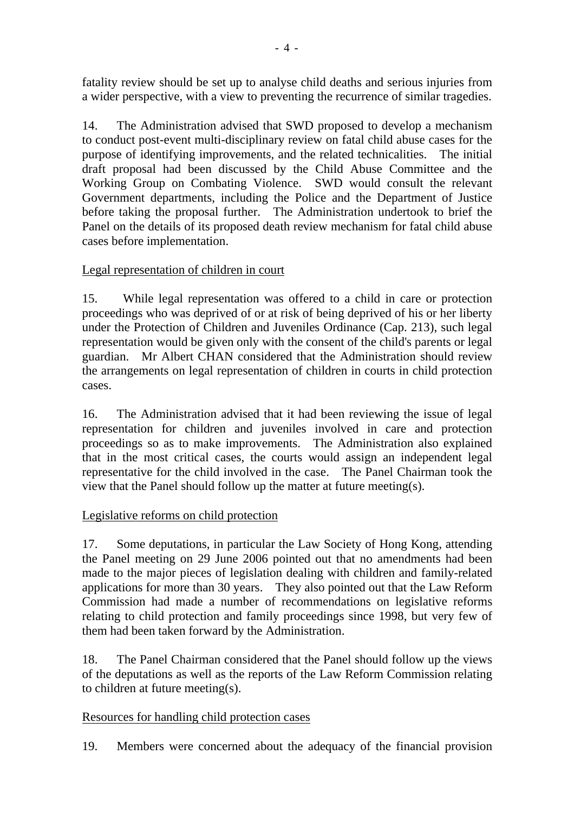fatality review should be set up to analyse child deaths and serious injuries from a wider perspective, with a view to preventing the recurrence of similar tragedies.

14. The Administration advised that SWD proposed to develop a mechanism to conduct post-event multi-disciplinary review on fatal child abuse cases for the purpose of identifying improvements, and the related technicalities. The initial draft proposal had been discussed by the Child Abuse Committee and the Working Group on Combating Violence. SWD would consult the relevant Government departments, including the Police and the Department of Justice before taking the proposal further. The Administration undertook to brief the Panel on the details of its proposed death review mechanism for fatal child abuse cases before implementation.

## Legal representation of children in court

15. While legal representation was offered to a child in care or protection proceedings who was deprived of or at risk of being deprived of his or her liberty under the Protection of Children and Juveniles Ordinance (Cap. 213), such legal representation would be given only with the consent of the child's parents or legal guardian. Mr Albert CHAN considered that the Administration should review the arrangements on legal representation of children in courts in child protection cases.

16. The Administration advised that it had been reviewing the issue of legal representation for children and juveniles involved in care and protection proceedings so as to make improvements. The Administration also explained that in the most critical cases, the courts would assign an independent legal representative for the child involved in the case. The Panel Chairman took the view that the Panel should follow up the matter at future meeting(s).

# Legislative reforms on child protection

17. Some deputations, in particular the Law Society of Hong Kong, attending the Panel meeting on 29 June 2006 pointed out that no amendments had been made to the major pieces of legislation dealing with children and family-related applications for more than 30 years. They also pointed out that the Law Reform Commission had made a number of recommendations on legislative reforms relating to child protection and family proceedings since 1998, but very few of them had been taken forward by the Administration.

18. The Panel Chairman considered that the Panel should follow up the views of the deputations as well as the reports of the Law Reform Commission relating to children at future meeting(s).

## Resources for handling child protection cases

19. Members were concerned about the adequacy of the financial provision